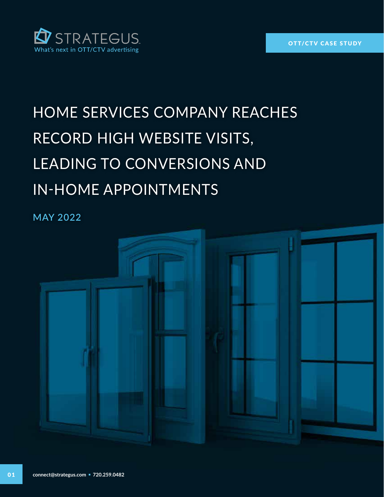

# HOME SERVICES COMPANY REACHES RECORD HIGH WEBSITE VISITS, LEADING TO CONVERSIONS AND IN-HOME APPOINTMENTS

**MAY 2022**

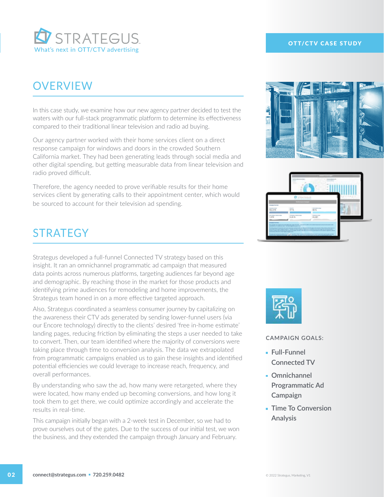

### **OVERVIEW**

In this case study, we examine how our new agency partner decided to test the waters with our full-stack programmatic platform to determine its effectiveness compared to their traditional linear television and radio ad buying.

Our agency partner worked with their home services client on a direct response campaign for windows and doors in the crowded Southern California market. They had been generating leads through social media and other digital spending, but getting measurable data from linear television and radio proved difficult.

Therefore, the agency needed to prove verifiable results for their home services client by generating calls to their appointment center, which would be sourced to account for their television ad spending.

### **STRATEGY**

Strategus developed a full-funnel Connected TV strategy based on this insight. It ran an omnichannel programmatic ad campaign that measured data points across numerous platforms, targeting audiences far beyond age and demographic. By reaching those in the market for those products and identifying prime audiences for remodeling and home improvements, the Strategus team honed in on a more effective targeted approach.

Also, Strategus coordinated a seamless consumer journey by capitalizing on the awareness their CTV ads generated by sending lower-funnel users (via our Encore technology) directly to the clients' desired 'free in-home estimate' landing pages, reducing friction by eliminating the steps a user needed to take to convert. Then, our team identified where the majority of conversions were taking place through time to conversion analysis. The data we extrapolated from programmatic campaigns enabled us to gain these insights and identified potential efficiencies we could leverage to increase reach, frequency, and overall performances.

By understanding who saw the ad, how many were retargeted, where they were located, how many ended up becoming conversions, and how long it took them to get there, we could optimize accordingly and accelerate the results in real-time.

This campaign initially began with a 2-week test in December, so we had to prove ourselves out of the gates. Due to the success of our initial test, we won the business, and they extended the campaign through January and February.

#### OTT/CTV CASE STUDY







#### **CAMPAIGN GOALS:**

- **Full-Funnel Connected TV**
- **Omnichannel Programmatic Ad Campaign**
- **Time To Conversion Analysis**